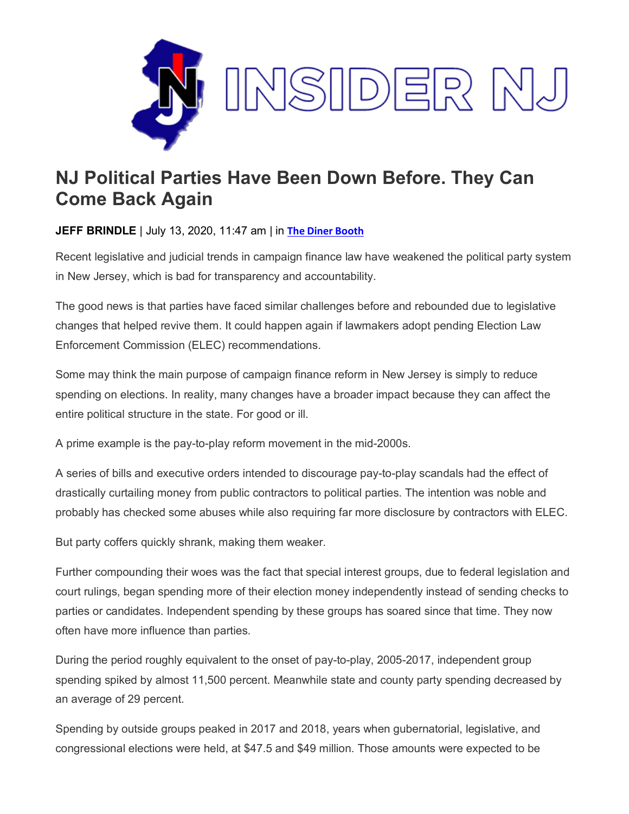

## **NJ Political Parties Have Been Down Before. They Can Come Back Again**

## **JEFF BRINDLE** | July 13, 2020, 11:47 am | in **The [Diner Booth](https://www.insidernj.com/category/the-diner-booth/)**

Recent legislative and judicial trends in campaign finance law have weakened the political party system in New Jersey, which is bad for transparency and accountability.

The good news is that parties have faced similar challenges before and rebounded due to legislative changes that helped revive them. It could happen again if lawmakers adopt pending Election Law Enforcement Commission (ELEC) recommendations.

Some may think the main purpose of campaign finance reform in New Jersey is simply to reduce spending on elections. In reality, many changes have a broader impact because they can affect the entire political structure in the state. For good or ill.

A prime example is the pay-to-play reform movement in the mid-2000s.

A series of bills and executive orders intended to discourage pay-to-play scandals had the effect of drastically curtailing money from public contractors to political parties. The intention was noble and probably has checked some abuses while also requiring far more disclosure by contractors with ELEC.

But party coffers quickly shrank, making them weaker.

Further compounding their woes was the fact that special interest groups, due to federal legislation and court rulings, began spending more of their election money independently instead of sending checks to parties or candidates. Independent spending by these groups has soared since that time. They now often have more influence than parties.

During the period roughly equivalent to the onset of pay-to-play, 2005-2017, independent group spending spiked by almost 11,500 percent. Meanwhile state and county party spending decreased by an average of 29 percent.

Spending by outside groups peaked in 2017 and 2018, years when gubernatorial, legislative, and congressional elections were held, at \$47.5 and \$49 million. Those amounts were expected to be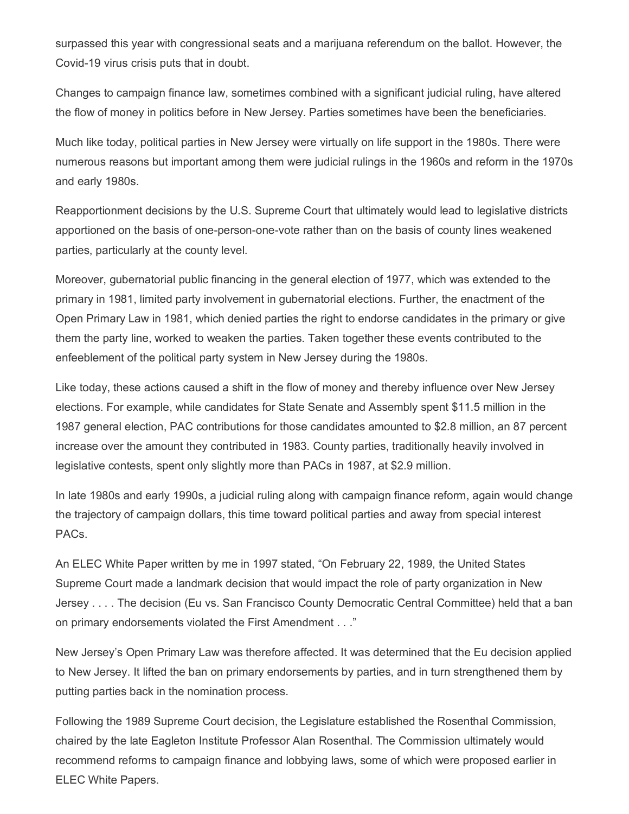surpassed this year with congressional seats and a marijuana referendum on the ballot. However, the Covid-19 virus crisis puts that in doubt.

Changes to campaign finance law, sometimes combined with a significant judicial ruling, have altered the flow of money in politics before in New Jersey. Parties sometimes have been the beneficiaries.

Much like today, political parties in New Jersey were virtually on life support in the 1980s. There were numerous reasons but important among them were judicial rulings in the 1960s and reform in the 1970s and early 1980s.

Reapportionment decisions by the U.S. Supreme Court that ultimately would lead to legislative districts apportioned on the basis of one-person-one-vote rather than on the basis of county lines weakened parties, particularly at the county level.

Moreover, gubernatorial public financing in the general election of 1977, which was extended to the primary in 1981, limited party involvement in gubernatorial elections. Further, the enactment of the Open Primary Law in 1981, which denied parties the right to endorse candidates in the primary or give them the party line, worked to weaken the parties. Taken together these events contributed to the enfeeblement of the political party system in New Jersey during the 1980s.

Like today, these actions caused a shift in the flow of money and thereby influence over New Jersey elections. For example, while candidates for State Senate and Assembly spent \$11.5 million in the 1987 general election, PAC contributions for those candidates amounted to \$2.8 million, an 87 percent increase over the amount they contributed in 1983. County parties, traditionally heavily involved in legislative contests, spent only slightly more than PACs in 1987, at \$2.9 million.

In late 1980s and early 1990s, a judicial ruling along with campaign finance reform, again would change the trajectory of campaign dollars, this time toward political parties and away from special interest PACs.

An ELEC White Paper written by me in 1997 stated, "On February 22, 1989, the United States Supreme Court made a landmark decision that would impact the role of party organization in New Jersey . . . . The decision (Eu vs. San Francisco County Democratic Central Committee) held that a ban on primary endorsements violated the First Amendment . . ."

New Jersey's Open Primary Law was therefore affected. It was determined that the Eu decision applied to New Jersey. It lifted the ban on primary endorsements by parties, and in turn strengthened them by putting parties back in the nomination process.

Following the 1989 Supreme Court decision, the Legislature established the Rosenthal Commission, chaired by the late Eagleton Institute Professor Alan Rosenthal. The Commission ultimately would recommend reforms to campaign finance and lobbying laws, some of which were proposed earlier in ELEC White Papers.